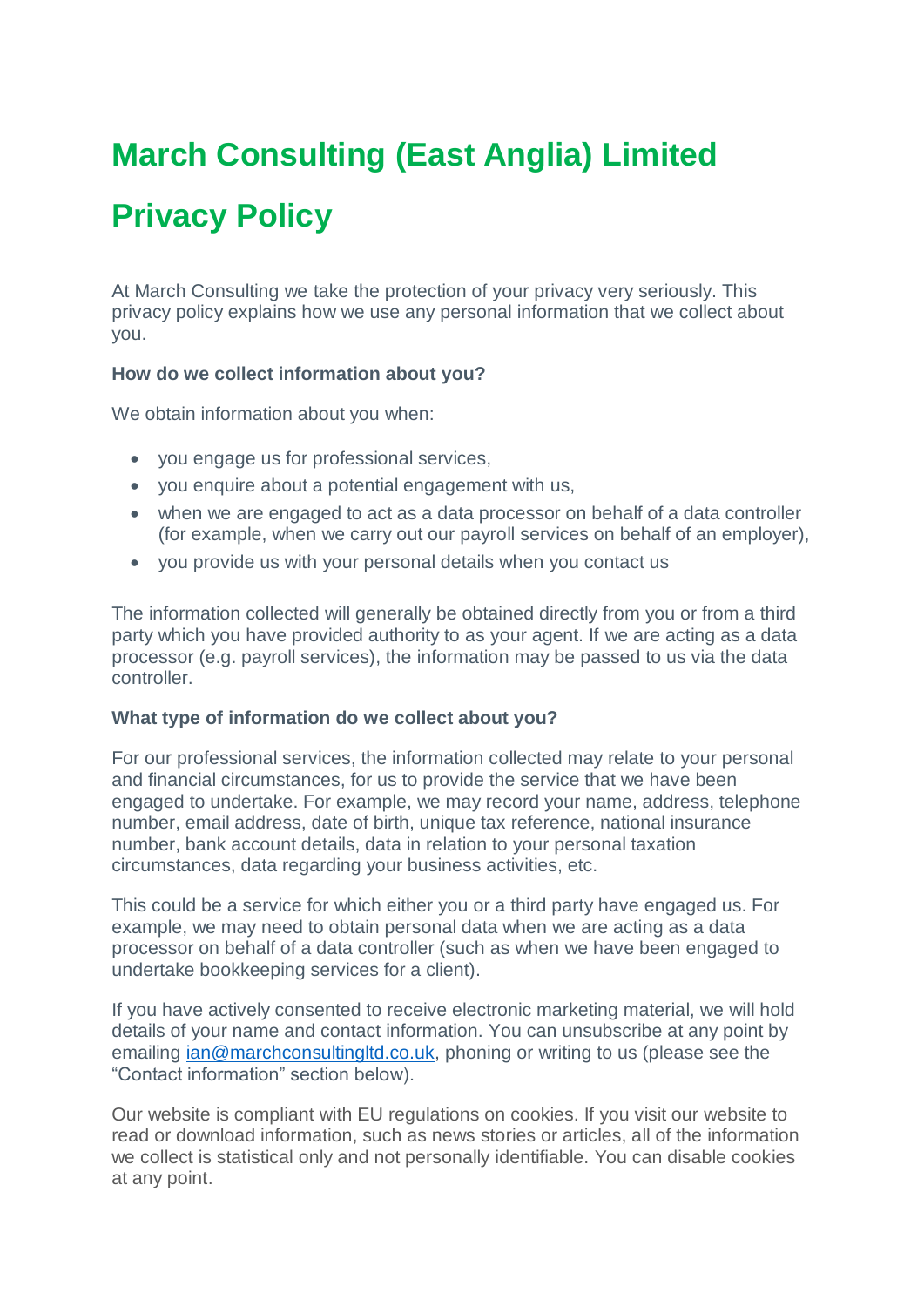# **March Consulting (East Anglia) Limited**

## **Privacy Policy**

At March Consulting we take the protection of your privacy very seriously. This privacy policy explains how we use any personal information that we collect about you.

## **How do we collect information about you?**

We obtain information about you when:

- you engage us for professional services,
- you enquire about a potential engagement with us,
- when we are engaged to act as a data processor on behalf of a data controller (for example, when we carry out our payroll services on behalf of an employer),
- you provide us with your personal details when you contact us

The information collected will generally be obtained directly from you or from a third party which you have provided authority to as your agent. If we are acting as a data processor (e.g. payroll services), the information may be passed to us via the data controller.

## **What type of information do we collect about you?**

For our professional services, the information collected may relate to your personal and financial circumstances, for us to provide the service that we have been engaged to undertake. For example, we may record your name, address, telephone number, email address, date of birth, unique tax reference, national insurance number, bank account details, data in relation to your personal taxation circumstances, data regarding your business activities, etc.

This could be a service for which either you or a third party have engaged us. For example, we may need to obtain personal data when we are acting as a data processor on behalf of a data controller (such as when we have been engaged to undertake bookkeeping services for a client).

If you have actively consented to receive electronic marketing material, we will hold details of your name and contact information. You can unsubscribe at any point by emailing [ian@marchconsultingltd.co.uk,](mailto:ian@marchconsultingltd.co.uk) phoning or writing to us (please see the "Contact information" section below).

Our website is compliant with EU regulations on cookies. If you visit our website to read or download information, such as news stories or articles, all of the information we collect is statistical only and not personally identifiable. You can disable cookies at any point.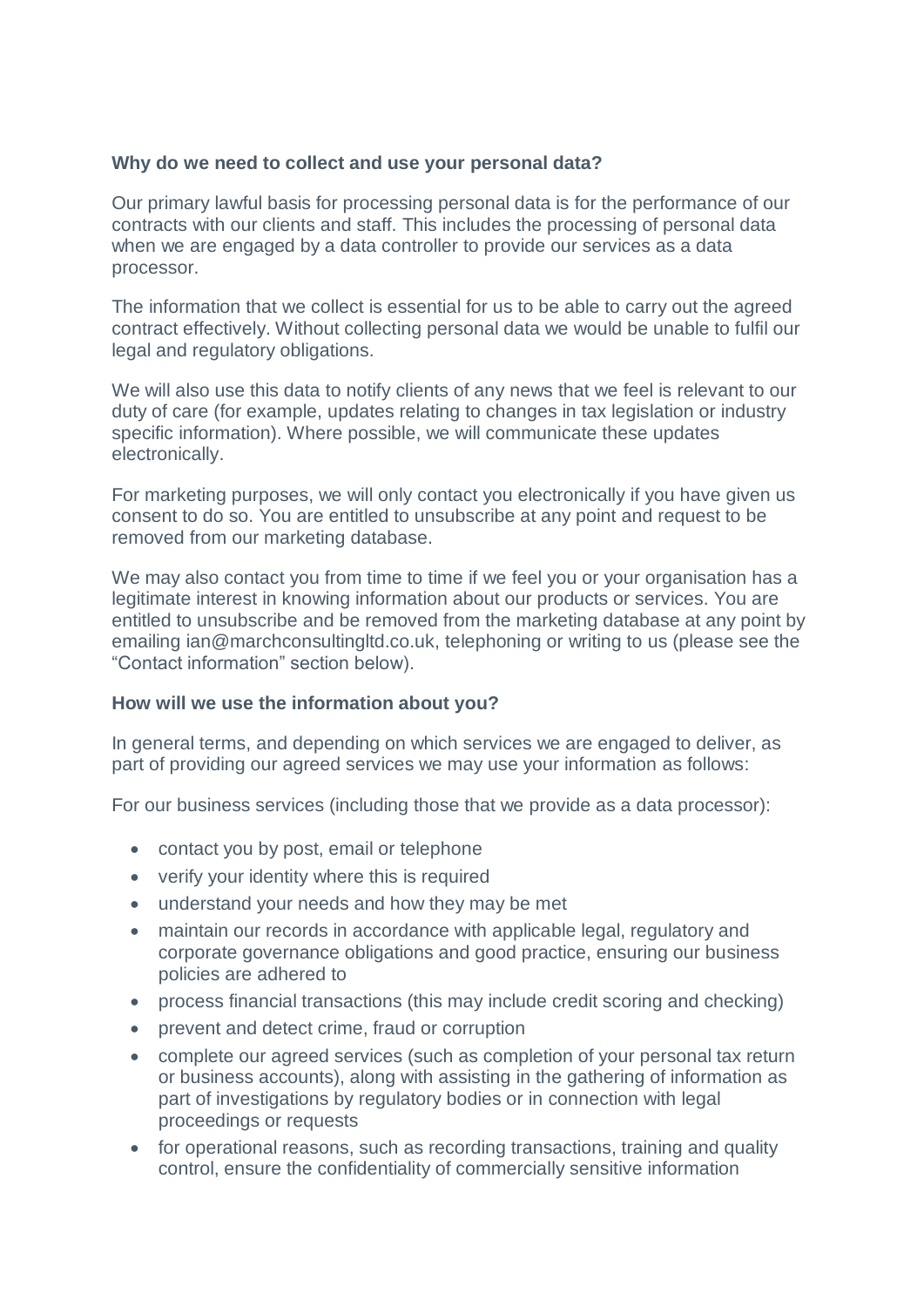## **Why do we need to collect and use your personal data?**

Our primary lawful basis for processing personal data is for the performance of our contracts with our clients and staff. This includes the processing of personal data when we are engaged by a data controller to provide our services as a data processor.

The information that we collect is essential for us to be able to carry out the agreed contract effectively. Without collecting personal data we would be unable to fulfil our legal and regulatory obligations.

We will also use this data to notify clients of any news that we feel is relevant to our duty of care (for example, updates relating to changes in tax legislation or industry specific information). Where possible, we will communicate these updates electronically.

For marketing purposes, we will only contact you electronically if you have given us consent to do so. You are entitled to unsubscribe at any point and request to be removed from our marketing database.

We may also contact you from time to time if we feel you or your organisation has a legitimate interest in knowing information about our products or services. You are entitled to unsubscribe and be removed from the marketing database at any point by emailing ian@marchconsultingltd.co.uk, telephoning or writing to us (please see the "Contact information" section below).

## **How will we use the information about you?**

In general terms, and depending on which services we are engaged to deliver, as part of providing our agreed services we may use your information as follows:

For our business services (including those that we provide as a data processor):

- contact you by post, email or telephone
- verify your identity where this is required
- understand your needs and how they may be met
- maintain our records in accordance with applicable legal, regulatory and corporate governance obligations and good practice, ensuring our business policies are adhered to
- process financial transactions (this may include credit scoring and checking)
- prevent and detect crime, fraud or corruption
- complete our agreed services (such as completion of your personal tax return or business accounts), along with assisting in the gathering of information as part of investigations by regulatory bodies or in connection with legal proceedings or requests
- for operational reasons, such as recording transactions, training and quality control, ensure the confidentiality of commercially sensitive information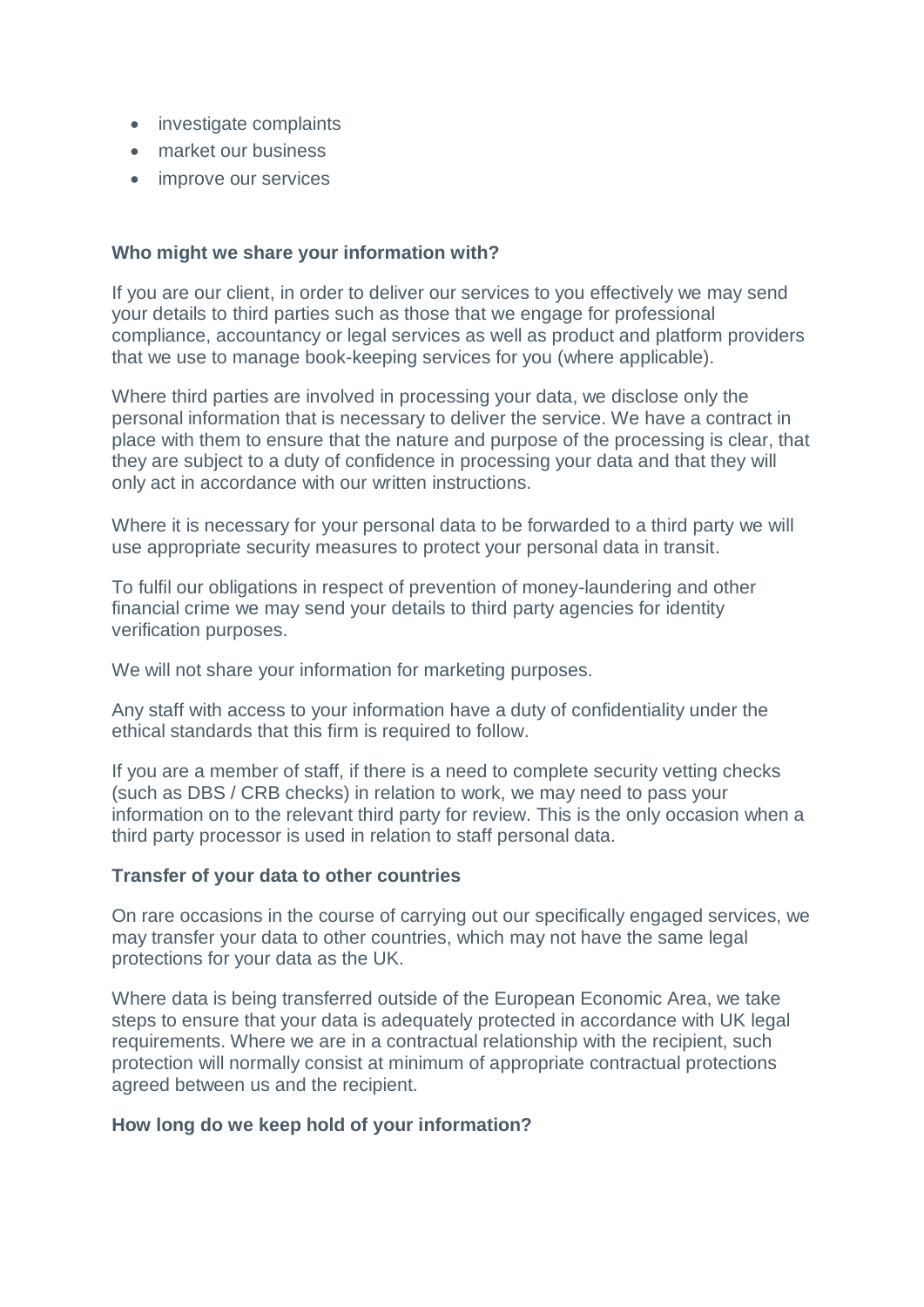- investigate complaints
- market our business
- improve our services

## **Who might we share your information with?**

If you are our client, in order to deliver our services to you effectively we may send your details to third parties such as those that we engage for professional compliance, accountancy or legal services as well as product and platform providers that we use to manage book-keeping services for you (where applicable).

Where third parties are involved in processing your data, we disclose only the personal information that is necessary to deliver the service. We have a contract in place with them to ensure that the nature and purpose of the processing is clear, that they are subject to a duty of confidence in processing your data and that they will only act in accordance with our written instructions.

Where it is necessary for your personal data to be forwarded to a third party we will use appropriate security measures to protect your personal data in transit.

To fulfil our obligations in respect of prevention of money-laundering and other financial crime we may send your details to third party agencies for identity verification purposes.

We will not share your information for marketing purposes.

Any staff with access to your information have a duty of confidentiality under the ethical standards that this firm is required to follow.

If you are a member of staff, if there is a need to complete security vetting checks (such as DBS / CRB checks) in relation to work, we may need to pass your information on to the relevant third party for review. This is the only occasion when a third party processor is used in relation to staff personal data.

## **Transfer of your data to other countries**

On rare occasions in the course of carrying out our specifically engaged services, we may transfer your data to other countries, which may not have the same legal protections for your data as the UK.

Where data is being transferred outside of the European Economic Area, we take steps to ensure that your data is adequately protected in accordance with UK legal requirements. Where we are in a contractual relationship with the recipient, such protection will normally consist at minimum of appropriate contractual protections agreed between us and the recipient.

## **How long do we keep hold of your information?**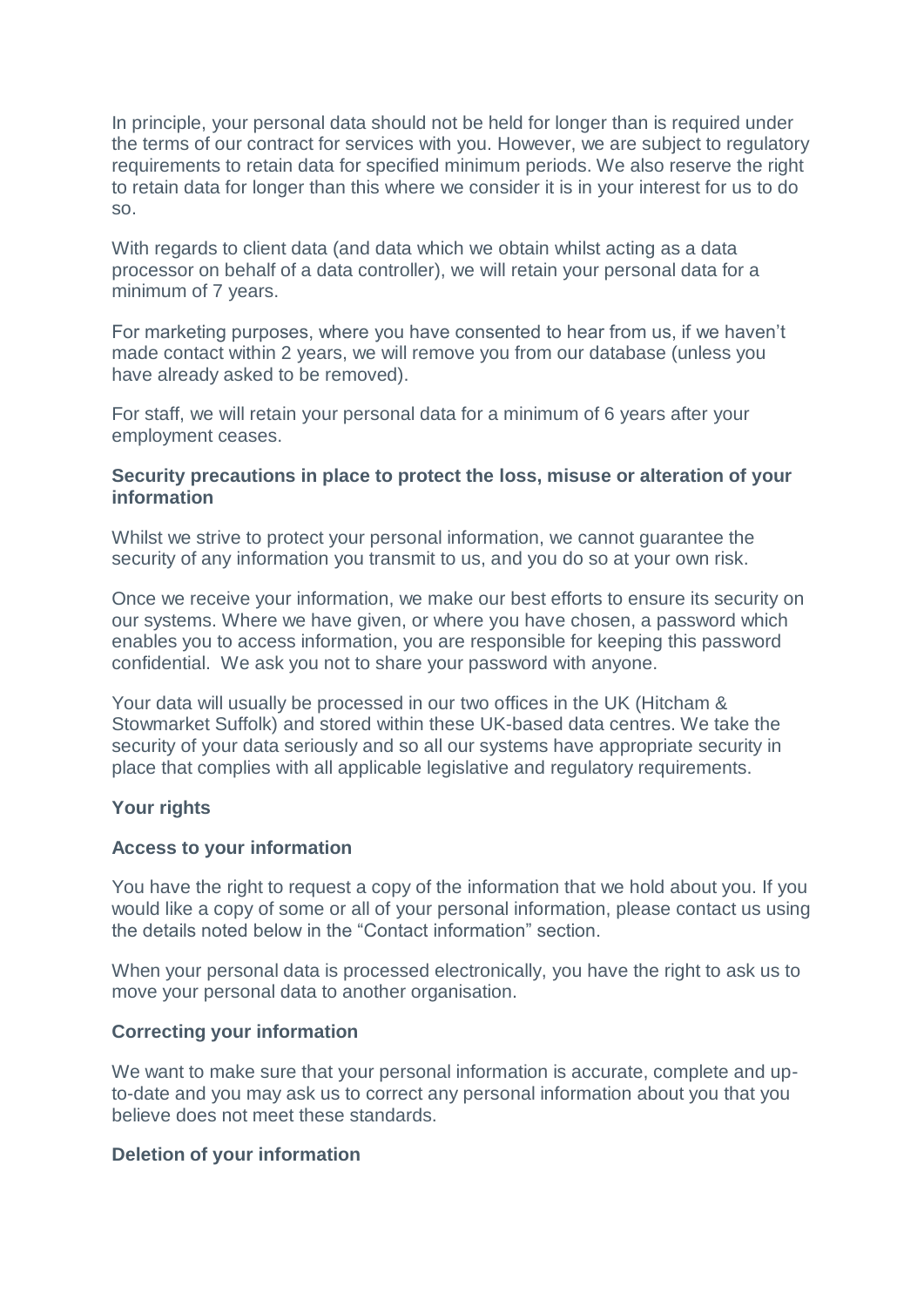In principle, your personal data should not be held for longer than is required under the terms of our contract for services with you. However, we are subject to regulatory requirements to retain data for specified minimum periods. We also reserve the right to retain data for longer than this where we consider it is in your interest for us to do so.

With regards to client data (and data which we obtain whilst acting as a data processor on behalf of a data controller), we will retain your personal data for a minimum of 7 years.

For marketing purposes, where you have consented to hear from us, if we haven't made contact within 2 years, we will remove you from our database (unless you have already asked to be removed).

For staff, we will retain your personal data for a minimum of 6 years after your employment ceases.

## **Security precautions in place to protect the loss, misuse or alteration of your information**

Whilst we strive to protect your personal information, we cannot guarantee the security of any information you transmit to us, and you do so at your own risk.

Once we receive your information, we make our best efforts to ensure its security on our systems. Where we have given, or where you have chosen, a password which enables you to access information, you are responsible for keeping this password confidential. We ask you not to share your password with anyone.

Your data will usually be processed in our two offices in the UK (Hitcham & Stowmarket Suffolk) and stored within these UK-based data centres. We take the security of your data seriously and so all our systems have appropriate security in place that complies with all applicable legislative and regulatory requirements.

## **Your rights**

## **Access to your information**

You have the right to request a copy of the information that we hold about you. If you would like a copy of some or all of your personal information, please contact us using the details noted below in the "Contact information" section.

When your personal data is processed electronically, you have the right to ask us to move your personal data to another organisation.

## **Correcting your information**

We want to make sure that your personal information is accurate, complete and upto-date and you may ask us to correct any personal information about you that you believe does not meet these standards.

## **Deletion of your information**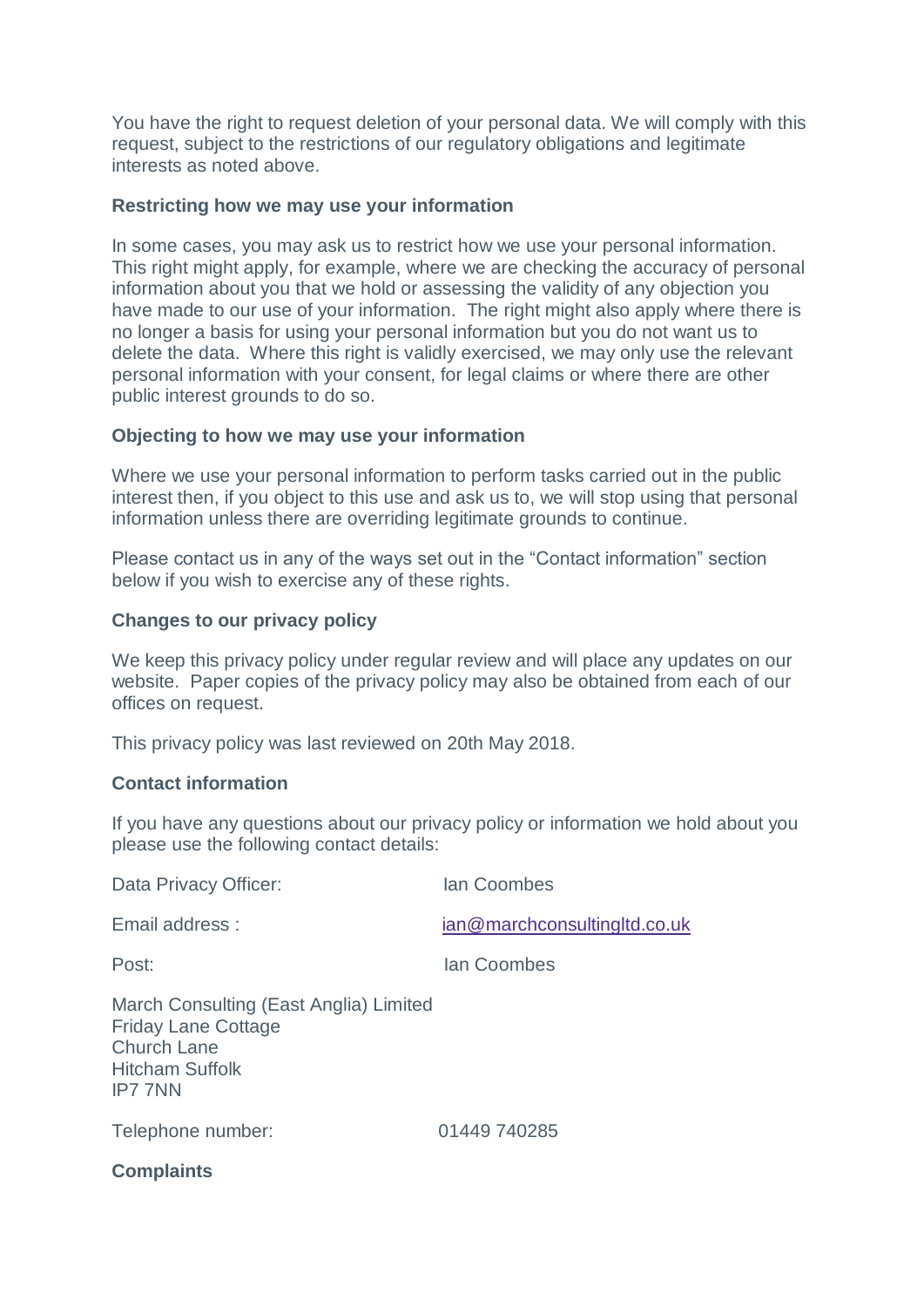You have the right to request deletion of your personal data. We will comply with this request, subject to the restrictions of our regulatory obligations and legitimate interests as noted above.

## **Restricting how we may use your information**

In some cases, you may ask us to restrict how we use your personal information. This right might apply, for example, where we are checking the accuracy of personal information about you that we hold or assessing the validity of any objection you have made to our use of your information. The right might also apply where there is no longer a basis for using your personal information but you do not want us to delete the data. Where this right is validly exercised, we may only use the relevant personal information with your consent, for legal claims or where there are other public interest grounds to do so.

## **Objecting to how we may use your information**

Where we use your personal information to perform tasks carried out in the public interest then, if you object to this use and ask us to, we will stop using that personal information unless there are overriding legitimate grounds to continue.

Please contact us in any of the ways set out in the "Contact information" section below if you wish to exercise any of these rights.

## **Changes to our privacy policy**

We keep this privacy policy under regular review and will place any updates on our website. Paper copies of the privacy policy may also be obtained from each of our offices on request.

This privacy policy was last reviewed on 20th May 2018.

## **Contact information**

If you have any questions about our privacy policy or information we hold about you please use the following contact details:

| Data Privacy Officer:                                                                                                                  | lan Coombes                  |
|----------------------------------------------------------------------------------------------------------------------------------------|------------------------------|
| Email address:                                                                                                                         | ian@marchconsultingltd.co.uk |
| Post:                                                                                                                                  | lan Coombes                  |
| March Consulting (East Anglia) Limited<br><b>Friday Lane Cottage</b><br><b>Church Lane</b><br><b>Hitcham Suffolk</b><br><b>IP7 7NN</b> |                              |
| Telephone number:                                                                                                                      | 01449 740285                 |
| Campalainte                                                                                                                            |                              |

**Complaints**